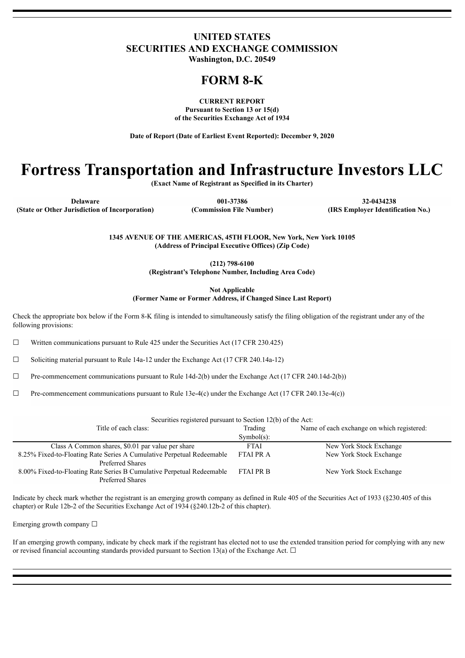# **UNITED STATES SECURITIES AND EXCHANGE COMMISSION**

**Washington, D.C. 20549**

# **FORM 8-K**

**CURRENT REPORT Pursuant to Section 13 or 15(d) of the Securities Exchange Act of 1934**

**Date of Report (Date of Earliest Event Reported): December 9, 2020**

# **Fortress Transportation and Infrastructure Investors LLC**

**(Exact Name of Registrant as Specified in its Charter)**

**Delaware 001-37386 32-0434238 (State or Other Jurisdiction of Incorporation) (Commission File Number) (IRS Employer Identification No.)**

**1345 AVENUE OF THE AMERICAS, 45TH FLOOR, New York, New York 10105 (Address of Principal Executive Offices) (Zip Code)**

> **(212) 798-6100 (Registrant's Telephone Number, Including Area Code)**

**Not Applicable (Former Name or Former Address, if Changed Since Last Report)**

Check the appropriate box below if the Form 8-K filing is intended to simultaneously satisfy the filing obligation of the registrant under any of the following provisions:

 $\Box$  Written communications pursuant to Rule 425 under the Securities Act (17 CFR 230.425)

 $\Box$  Soliciting material pursuant to Rule 14a-12 under the Exchange Act (17 CFR 240.14a-12)

☐ Pre-commencement communications pursuant to Rule 14d-2(b) under the Exchange Act (17 CFR 240.14d-2(b))

 $\Box$  Pre-commencement communications pursuant to Rule 13e-4(c) under the Exchange Act (17 CFR 240.13e-4(c))

| Securities registered pursuant to Section 12(b) of the Act:           |                  |                                            |  |  |  |  |
|-----------------------------------------------------------------------|------------------|--------------------------------------------|--|--|--|--|
| Title of each class:                                                  | Trading          | Name of each exchange on which registered: |  |  |  |  |
|                                                                       | $Symbol(s)$ :    |                                            |  |  |  |  |
| Class A Common shares, \$0.01 par value per share                     | <b>FTAI</b>      | New York Stock Exchange                    |  |  |  |  |
| 8.25% Fixed-to-Floating Rate Series A Cumulative Perpetual Redeemable | <b>FTAI PRA</b>  | New York Stock Exchange                    |  |  |  |  |
| <b>Preferred Shares</b>                                               |                  |                                            |  |  |  |  |
| 8.00% Fixed-to-Floating Rate Series B Cumulative Perpetual Redeemable | <b>FTAI PR B</b> | New York Stock Exchange                    |  |  |  |  |
| <b>Preferred Shares</b>                                               |                  |                                            |  |  |  |  |

Indicate by check mark whether the registrant is an emerging growth company as defined in Rule 405 of the Securities Act of 1933 (§230.405 of this chapter) or Rule 12b-2 of the Securities Exchange Act of 1934 (§240.12b-2 of this chapter).

Emerging growth company ☐

If an emerging growth company, indicate by check mark if the registrant has elected not to use the extended transition period for complying with any new or revised financial accounting standards provided pursuant to Section 13(a) of the Exchange Act.  $\Box$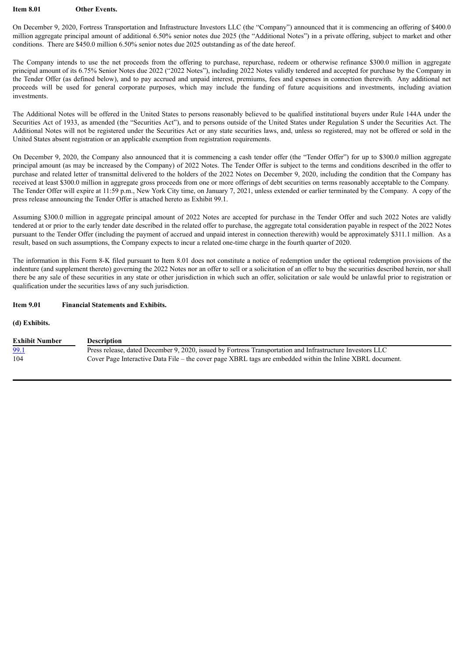#### **Item 8.01 Other Events.**

On December 9, 2020, Fortress Transportation and Infrastructure Investors LLC (the "Company") announced that it is commencing an offering of \$400.0 million aggregate principal amount of additional 6.50% senior notes due 2025 (the "Additional Notes") in a private offering, subject to market and other conditions. There are \$450.0 million 6.50% senior notes due 2025 outstanding as of the date hereof.

The Company intends to use the net proceeds from the offering to purchase, repurchase, redeem or otherwise refinance \$300.0 million in aggregate principal amount of its 6.75% Senior Notes due 2022 ("2022 Notes"), including 2022 Notes validly tendered and accepted for purchase by the Company in the Tender Offer (as defined below), and to pay accrued and unpaid interest, premiums, fees and expenses in connection therewith. Any additional net proceeds will be used for general corporate purposes, which may include the funding of future acquisitions and investments, including aviation investments.

The Additional Notes will be offered in the United States to persons reasonably believed to be qualified institutional buyers under Rule 144A under the Securities Act of 1933, as amended (the "Securities Act"), and to persons outside of the United States under Regulation S under the Securities Act. The Additional Notes will not be registered under the Securities Act or any state securities laws, and, unless so registered, may not be offered or sold in the United States absent registration or an applicable exemption from registration requirements.

On December 9, 2020, the Company also announced that it is commencing a cash tender offer (the "Tender Offer") for up to \$300.0 million aggregate principal amount (as may be increased by the Company) of 2022 Notes. The Tender Offer is subject to the terms and conditions described in the offer to purchase and related letter of transmittal delivered to the holders of the 2022 Notes on December 9, 2020, including the condition that the Company has received at least \$300.0 million in aggregate gross proceeds from one or more offerings of debt securities on terms reasonably acceptable to the Company. The Tender Offer will expire at 11:59 p.m., New York City time, on January 7, 2021, unless extended or earlier terminated by the Company. A copy of the press release announcing the Tender Offer is attached hereto as Exhibit 99.1.

Assuming \$300.0 million in aggregate principal amount of 2022 Notes are accepted for purchase in the Tender Offer and such 2022 Notes are validly tendered at or prior to the early tender date described in the related offer to purchase, the aggregate total consideration payable in respect of the 2022 Notes pursuant to the Tender Offer (including the payment of accrued and unpaid interest in connection therewith) would be approximately \$311.1 million. As a result, based on such assumptions, the Company expects to incur a related one-time charge in the fourth quarter of 2020.

The information in this Form 8-K filed pursuant to Item 8.01 does not constitute a notice of redemption under the optional redemption provisions of the indenture (and supplement thereto) governing the 2022 Notes nor an offer to sell or a solicitation of an offer to buy the securities described herein, nor shall there be any sale of these securities in any state or other jurisdiction in which such an offer, solicitation or sale would be unlawful prior to registration or qualification under the securities laws of any such jurisdiction.

## **Item 9.01 Financial Statements and Exhibits.**

# **(d) Exhibits.**

| <b>Exhibit Number</b> | <b>Description</b>                                                                                        |
|-----------------------|-----------------------------------------------------------------------------------------------------------|
| <u>99.1</u>           | Press release, dated December 9, 2020, issued by Fortress Transportation and Infrastructure Investors LLC |
| 104                   | Cover Page Interactive Data File – the cover page XBRL tags are embedded within the Inline XBRL document. |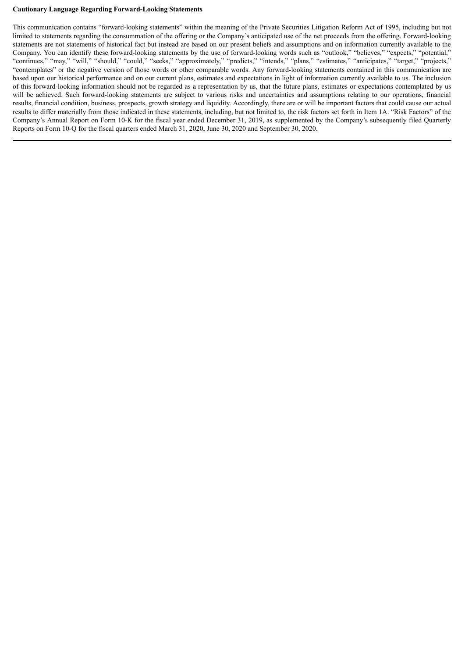# **Cautionary Language Regarding Forward-Looking Statements**

This communication contains "forward-looking statements" within the meaning of the Private Securities Litigation Reform Act of 1995, including but not limited to statements regarding the consummation of the offering or the Company's anticipated use of the net proceeds from the offering. Forward-looking statements are not statements of historical fact but instead are based on our present beliefs and assumptions and on information currently available to the Company. You can identify these forward-looking statements by the use of forward-looking words such as "outlook," "believes," "expects," "potential," "continues," "may," "will," "should," "could," "seeks," "approximately," "predicts," "intends," "plans," "estimates," "anticipates," "target," "projects," "contemplates" or the negative version of those words or other comparable words. Any forward-looking statements contained in this communication are based upon our historical performance and on our current plans, estimates and expectations in light of information currently available to us. The inclusion of this forward-looking information should not be regarded as a representation by us, that the future plans, estimates or expectations contemplated by us will be achieved. Such forward-looking statements are subject to various risks and uncertainties and assumptions relating to our operations, financial results, financial condition, business, prospects, growth strategy and liquidity. Accordingly, there are or will be important factors that could cause our actual results to differ materially from those indicated in these statements, including, but not limited to, the risk factors set forth in Item 1A. "Risk Factors" of the Company's Annual Report on Form 10-K for the fiscal year ended December 31, 2019, as supplemented by the Company's subsequently filed Quarterly Reports on Form 10-Q for the fiscal quarters ended March 31, 2020, June 30, 2020 and September 30, 2020.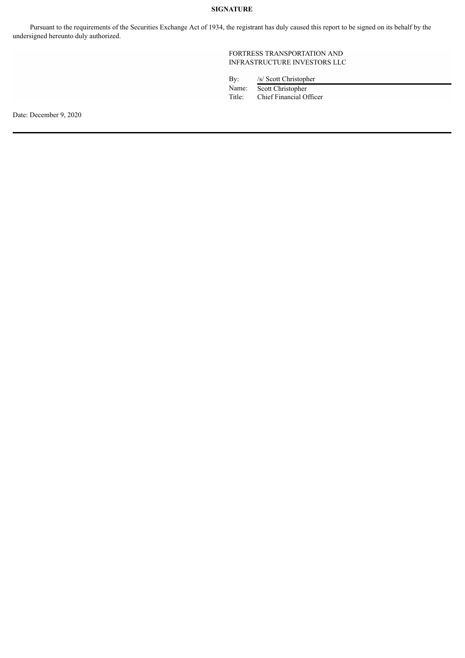# **SIGNATURE**

Pursuant to the requirements of the Securities Exchange Act of 1934, the registrant has duly caused this report to be signed on its behalf by the undersigned hereunto duly authorized.

# FORTRESS TRANSPORTATION AND INFRASTRUCTURE INVESTORS LLC

By: /s/ Scott Christopher Name: Scott Christopher

Title: Chief Financial Officer

Date: December 9, 2020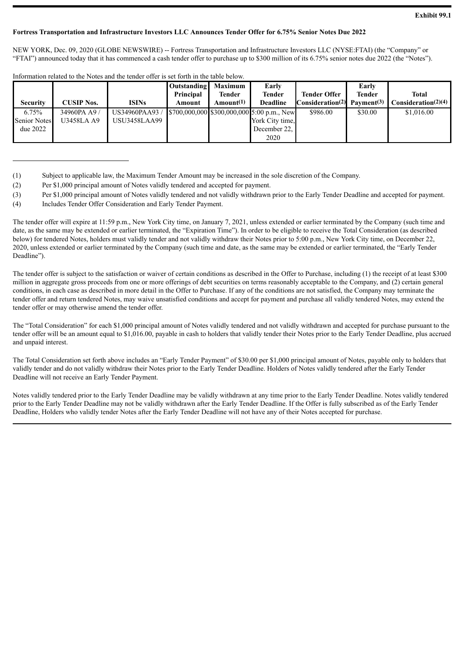# <span id="page-4-0"></span>**Fortress Transportation and Infrastructure Investors LLC Announces Tender Offer for 6.75% Senior Notes Due 2022**

NEW YORK, Dec. 09, 2020 (GLOBE NEWSWIRE) -- Fortress Transportation and Infrastructure Investors LLC (NYSE:FTAI) (the "Company" or "FTAI") announced today that it has commenced a cash tender offer to purchase up to \$300 million of its 6.75% senior notes due 2022 (the "Notes").

|  |  | Information related to the Notes and the tender offer is set forth in the table below. |
|--|--|----------------------------------------------------------------------------------------|
|  |  |                                                                                        |

|                 |                   |               | <b>Outstanding</b> | <b>Maximum</b>        | Early                                                              |                              | Early                  |                                 |
|-----------------|-------------------|---------------|--------------------|-----------------------|--------------------------------------------------------------------|------------------------------|------------------------|---------------------------------|
|                 |                   |               | Principal          | Tender                | <b>Tender</b>                                                      | <b>Tender Offer</b>          | <b>Tender</b>          | <b>Total</b>                    |
| <b>Security</b> | <b>CUSIP Nos.</b> | <b>ISINs</b>  | Amount             | Amount <sup>(1)</sup> | <b>Deadline</b>                                                    | Consideration <sup>(2)</sup> | Payment <sup>(3)</sup> | Consideration <sup>(2)(4)</sup> |
| 6.75%           | 34960PA A9 /      | US34960PAA93/ |                    |                       | $\left[ \frac{$700,000,000}{$300,000,000 $ \right]$ 5:00 p.m., New | \$986.00                     | \$30.00                | \$1,016.00                      |
| Senior Notes    | U3458LA A9        | USU3458LAA99  |                    |                       | York City time,                                                    |                              |                        |                                 |
| due 2022        |                   |               |                    |                       | December 22.                                                       |                              |                        |                                 |
|                 |                   |               |                    |                       | 2020                                                               |                              |                        |                                 |

- (1) Subject to applicable law, the Maximum Tender Amount may be increased in the sole discretion of the Company.
- (2) Per \$1,000 principal amount of Notes validly tendered and accepted for payment.
- (3) Per \$1,000 principal amount of Notes validly tendered and not validly withdrawn prior to the Early Tender Deadline and accepted for payment.
- (4) Includes Tender Offer Consideration and Early Tender Payment.

l,

The tender offer will expire at 11:59 p.m., New York City time, on January 7, 2021, unless extended or earlier terminated by the Company (such time and date, as the same may be extended or earlier terminated, the "Expiration Time"). In order to be eligible to receive the Total Consideration (as described below) for tendered Notes, holders must validly tender and not validly withdraw their Notes prior to 5:00 p.m., New York City time, on December 22, 2020, unless extended or earlier terminated by the Company (such time and date, as the same may be extended or earlier terminated, the "Early Tender Deadline").

The tender offer is subject to the satisfaction or waiver of certain conditions as described in the Offer to Purchase, including (1) the receipt of at least \$300 million in aggregate gross proceeds from one or more offerings of debt securities on terms reasonably acceptable to the Company, and (2) certain general conditions, in each case as described in more detail in the Offer to Purchase. If any of the conditions are not satisfied, the Company may terminate the tender offer and return tendered Notes, may waive unsatisfied conditions and accept for payment and purchase all validly tendered Notes, may extend the tender offer or may otherwise amend the tender offer.

The "Total Consideration" for each \$1,000 principal amount of Notes validly tendered and not validly withdrawn and accepted for purchase pursuant to the tender offer will be an amount equal to \$1,016.00, payable in cash to holders that validly tender their Notes prior to the Early Tender Deadline, plus accrued and unpaid interest.

The Total Consideration set forth above includes an "Early Tender Payment" of \$30.00 per \$1,000 principal amount of Notes, payable only to holders that validly tender and do not validly withdraw their Notes prior to the Early Tender Deadline. Holders of Notes validly tendered after the Early Tender Deadline will not receive an Early Tender Payment.

Notes validly tendered prior to the Early Tender Deadline may be validly withdrawn at any time prior to the Early Tender Deadline. Notes validly tendered prior to the Early Tender Deadline may not be validly withdrawn after the Early Tender Deadline. If the Offer is fully subscribed as of the Early Tender Deadline, Holders who validly tender Notes after the Early Tender Deadline will not have any of their Notes accepted for purchase.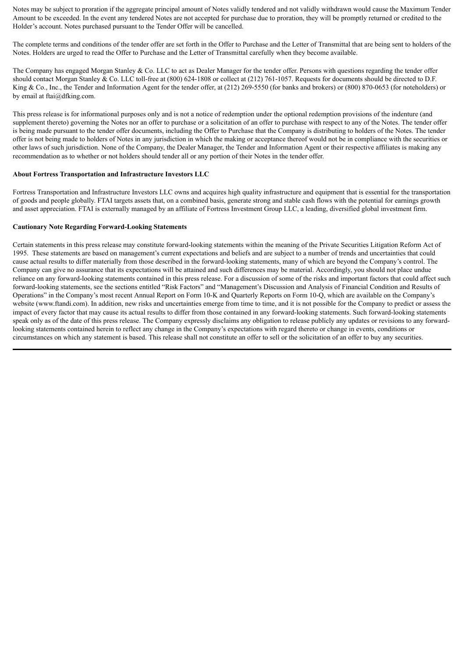Notes may be subject to proration if the aggregate principal amount of Notes validly tendered and not validly withdrawn would cause the Maximum Tender Amount to be exceeded. In the event any tendered Notes are not accepted for purchase due to proration, they will be promptly returned or credited to the Holder's account. Notes purchased pursuant to the Tender Offer will be cancelled.

The complete terms and conditions of the tender offer are set forth in the Offer to Purchase and the Letter of Transmittal that are being sent to holders of the Notes. Holders are urged to read the Offer to Purchase and the Letter of Transmittal carefully when they become available.

The Company has engaged Morgan Stanley  $& Co.$  LLC to act as Dealer Manager for the tender offer. Persons with questions regarding the tender offer should contact Morgan Stanley & Co. LLC toll-free at (800) 624-1808 or collect at (212) 761-1057. Requests for documents should be directed to D.F. King & Co., Inc., the Tender and Information Agent for the tender offer, at (212) 269-5550 (for banks and brokers) or (800) 870-0653 (for noteholders) or by email at ftai@dfking.com.

This press release is for informational purposes only and is not a notice of redemption under the optional redemption provisions of the indenture (and supplement thereto) governing the Notes nor an offer to purchase or a solicitation of an offer to purchase with respect to any of the Notes. The tender offer is being made pursuant to the tender offer documents, including the Offer to Purchase that the Company is distributing to holders of the Notes. The tender offer is not being made to holders of Notes in any jurisdiction in which the making or acceptance thereof would not be in compliance with the securities or other laws of such jurisdiction. None of the Company, the Dealer Manager, the Tender and Information Agent or their respective affiliates is making any recommendation as to whether or not holders should tender all or any portion of their Notes in the tender offer.

## **About Fortress Transportation and Infrastructure Investors LLC**

Fortress Transportation and Infrastructure Investors LLC owns and acquires high quality infrastructure and equipment that is essential for the transportation of goods and people globally. FTAI targets assets that, on a combined basis, generate strong and stable cash flows with the potential for earnings growth and asset appreciation. FTAI is externally managed by an affiliate of Fortress Investment Group LLC, a leading, diversified global investment firm.

## **Cautionary Note Regarding Forward-Looking Statements**

Certain statements in this press release may constitute forward-looking statements within the meaning of the Private Securities Litigation Reform Act of 1995. These statements are based on management's current expectations and beliefs and are subject to a number of trends and uncertainties that could cause actual results to differ materially from those described in the forward-looking statements, many of which are beyond the Company's control. The Company can give no assurance that its expectations will be attained and such differences may be material. Accordingly, you should not place undue reliance on any forward-looking statements contained in this press release. For a discussion of some of the risks and important factors that could affect such forward-looking statements, see the sections entitled "Risk Factors" and "Management's Discussion and Analysis of Financial Condition and Results of Operations" in the Company's most recent Annual Report on Form 10-K and Quarterly Reports on Form 10-Q, which are available on the Company's website (www.ftandi.com). In addition, new risks and uncertainties emerge from time to time, and it is not possible for the Company to predict or assess the impact of every factor that may cause its actual results to differ from those contained in any forward-looking statements. Such forward-looking statements speak only as of the date of this press release. The Company expressly disclaims any obligation to release publicly any updates or revisions to any forwardlooking statements contained herein to reflect any change in the Company's expectations with regard thereto or change in events, conditions or circumstances on which any statement is based. This release shall not constitute an offer to sell or the solicitation of an offer to buy any securities.